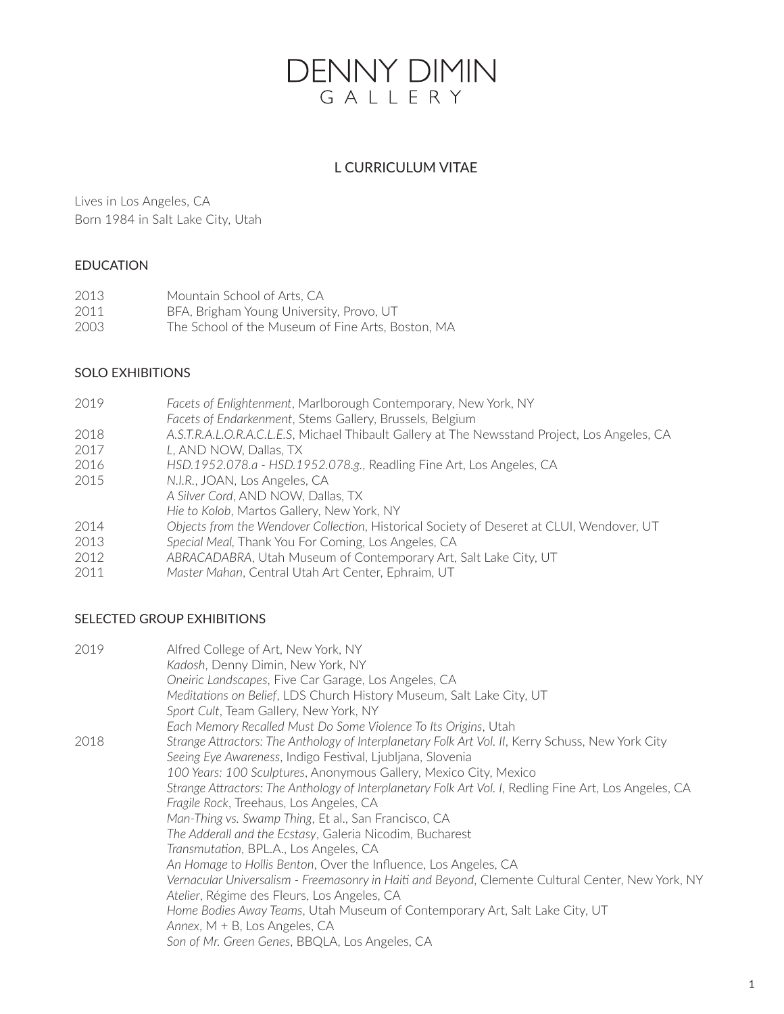# **DENNY DIMIN** GALLERY

# L CURRICULUM VITAE

Lives in Los Angeles, CA Born 1984 in Salt Lake City, Utah

## EDUCATION

| 2013 | Mountain School of Arts, CA                       |
|------|---------------------------------------------------|
| 2011 | BFA, Brigham Young University, Provo, UT          |
| 2003 | The School of the Museum of Fine Arts, Boston, MA |

# SOLO EXHIBITIONS

*Facets of Enlightenment*, Marlborough Contemporary, New York, NY *Facets of Endarkenment*, Stems Gallery, Brussels, Belgium *A.S.T.R.A.L.O.R.A.C.L.E.S*, Michael Thibault Gallery at The Newsstand Project, Los Angeles, CA *L*, AND NOW, Dallas, TX *HSD.1952.078.a - HSD.1952.078.g.*, Readling Fine Art, Los Angeles, CA *N.I.R.*, JOAN, Los Angeles, CA *A Silver Cord*, AND NOW, Dallas, TX *Hie to Kolob*, Martos Gallery, New York, NY *Objects from the Wendover Collection*, Historical Society of Deseret at CLUI, Wendover, UT *Special Meal,* Thank You For Coming, Los Angeles, CA *ABRACADABRA*, Utah Museum of Contemporary Art, Salt Lake City, UT *Master Mahan*, Central Utah Art Center, Ephraim, UT

## SELECTED GROUP EXHIBITIONS

| 2019 | Alfred College of Art, New York, NY                                                                    |
|------|--------------------------------------------------------------------------------------------------------|
|      | Kadosh, Denny Dimin, New York, NY                                                                      |
|      | Oneiric Landscapes, Five Car Garage, Los Angeles, CA                                                   |
|      | Meditations on Belief, LDS Church History Museum, Salt Lake City, UT                                   |
|      | Sport Cult, Team Gallery, New York, NY                                                                 |
|      | Each Memory Recalled Must Do Some Violence To Its Origins, Utah                                        |
| 2018 | Strange Attractors: The Anthology of Interplanetary Folk Art Vol. II, Kerry Schuss, New York City      |
|      | Seeing Eye Awareness, Indigo Festival, Ljubljana, Slovenia                                             |
|      | 100 Years: 100 Sculptures, Anonymous Gallery, Mexico City, Mexico                                      |
|      | Strange Attractors: The Anthology of Interplanetary Folk Art Vol. I, Redling Fine Art, Los Angeles, CA |
|      | Fragile Rock, Treehaus, Los Angeles, CA                                                                |
|      | Man-Thing vs. Swamp Thing, Et al., San Francisco, CA                                                   |
|      | The Adderall and the Ecstasy, Galeria Nicodim, Bucharest                                               |
|      | Transmutation, BPL.A., Los Angeles, CA                                                                 |
|      | An Homage to Hollis Benton, Over the Influence, Los Angeles, CA                                        |
|      | Vernacular Universalism - Freemasonry in Haiti and Beyond, Clemente Cultural Center, New York, NY      |
|      | Atelier, Régime des Fleurs, Los Angeles, CA                                                            |
|      | Home Bodies Away Teams, Utah Museum of Contemporary Art, Salt Lake City, UT                            |
|      | Annex, $M + B$ , Los Angeles, CA                                                                       |
|      | Son of Mr. Green Genes, BBQLA, Los Angeles, CA                                                         |
|      |                                                                                                        |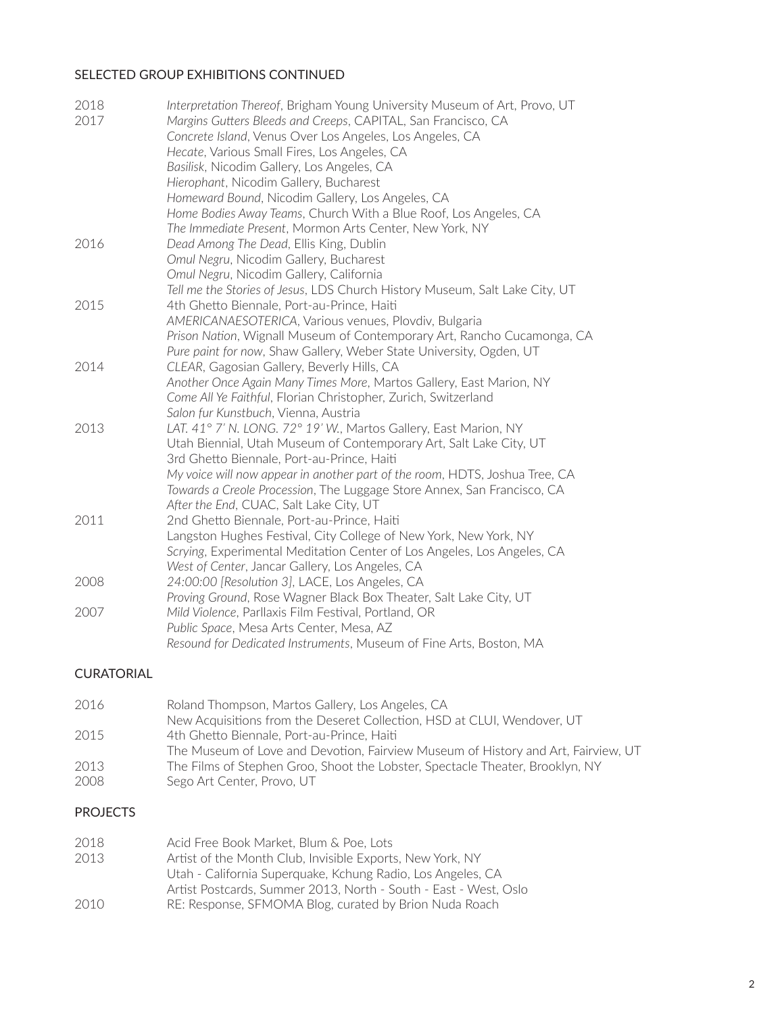## SELECTED GROUP EXHIBITIONS CONTINUED

| 2018 | Interpretation Thereof, Brigham Young University Museum of Art, Provo, UT   |
|------|-----------------------------------------------------------------------------|
| 2017 | Margins Gutters Bleeds and Creeps, CAPITAL, San Francisco, CA               |
|      | Concrete Island, Venus Over Los Angeles, Los Angeles, CA                    |
|      | Hecate, Various Small Fires, Los Angeles, CA                                |
|      | Basilisk, Nicodim Gallery, Los Angeles, CA                                  |
|      | Hierophant, Nicodim Gallery, Bucharest                                      |
|      | Homeward Bound, Nicodim Gallery, Los Angeles, CA                            |
|      | Home Bodies Away Teams, Church With a Blue Roof, Los Angeles, CA            |
|      | The Immediate Present, Mormon Arts Center, New York, NY                     |
| 2016 | Dead Among The Dead, Ellis King, Dublin                                     |
|      | Omul Negru, Nicodim Gallery, Bucharest                                      |
|      | Omul Negru, Nicodim Gallery, California                                     |
|      | Tell me the Stories of Jesus, LDS Church History Museum, Salt Lake City, UT |
| 2015 | 4th Ghetto Biennale, Port-au-Prince, Haiti                                  |
|      | AMERICANAESOTERICA, Various venues, Plovdiv, Bulgaria                       |
|      | Prison Nation, Wignall Museum of Contemporary Art, Rancho Cucamonga, CA     |
|      | Pure paint for now, Shaw Gallery, Weber State University, Ogden, UT         |
| 2014 | CLEAR, Gagosian Gallery, Beverly Hills, CA                                  |
|      | Another Once Again Many Times More, Martos Gallery, East Marion, NY         |
|      | Come All Ye Faithful, Florian Christopher, Zurich, Switzerland              |
|      | Salon fur Kunstbuch, Vienna, Austria                                        |
| 2013 | LAT. 41° 7' N. LONG. 72° 19' W., Martos Gallery, East Marion, NY            |
|      | Utah Biennial, Utah Museum of Contemporary Art, Salt Lake City, UT          |
|      | 3rd Ghetto Biennale, Port-au-Prince, Haiti                                  |
|      | My voice will now appear in another part of the room, HDTS, Joshua Tree, CA |
|      | Towards a Creole Procession, The Luggage Store Annex, San Francisco, CA     |
|      | After the End, CUAC, Salt Lake City, UT                                     |
| 2011 | 2nd Ghetto Biennale, Port-au-Prince, Haiti                                  |
|      | Langston Hughes Festival, City College of New York, New York, NY            |
|      | Scrying, Experimental Meditation Center of Los Angeles, Los Angeles, CA     |
|      | West of Center, Jancar Gallery, Los Angeles, CA                             |
| 2008 | 24:00:00 [Resolution 3], LACE, Los Angeles, CA                              |
|      | Proving Ground, Rose Wagner Black Box Theater, Salt Lake City, UT           |
| 2007 | Mild Violence, Parllaxis Film Festival, Portland, OR                        |
|      | Public Space, Mesa Arts Center, Mesa, AZ                                    |
|      | Resound for Dedicated Instruments, Museum of Fine Arts, Boston, MA          |
|      |                                                                             |

### CURATORIAL

| 2016 | Roland Thompson, Martos Gallery, Los Angeles, CA                                  |
|------|-----------------------------------------------------------------------------------|
|      | New Acquisitions from the Deseret Collection, HSD at CLUI, Wendover, UT           |
| 2015 | 4th Ghetto Biennale, Port-au-Prince, Haiti                                        |
|      | The Museum of Love and Devotion, Fairview Museum of History and Art, Fairview, UT |
| 2013 | The Films of Stephen Groo, Shoot the Lobster, Spectacle Theater, Brooklyn, NY     |
| 2008 | Sego Art Center, Provo, UT                                                        |

# PROJECTS

| 2018 | Acid Free Book Market, Blum & Poe, Lots                          |
|------|------------------------------------------------------------------|
| 2013 | Artist of the Month Club, Invisible Exports, New York, NY        |
|      | Utah - California Superguake, Kchung Radio, Los Angeles, CA      |
|      | Artist Postcards, Summer 2013, North - South - East - West, Oslo |
| 2010 | RE: Response, SFMOMA Blog, curated by Brion Nuda Roach           |
|      |                                                                  |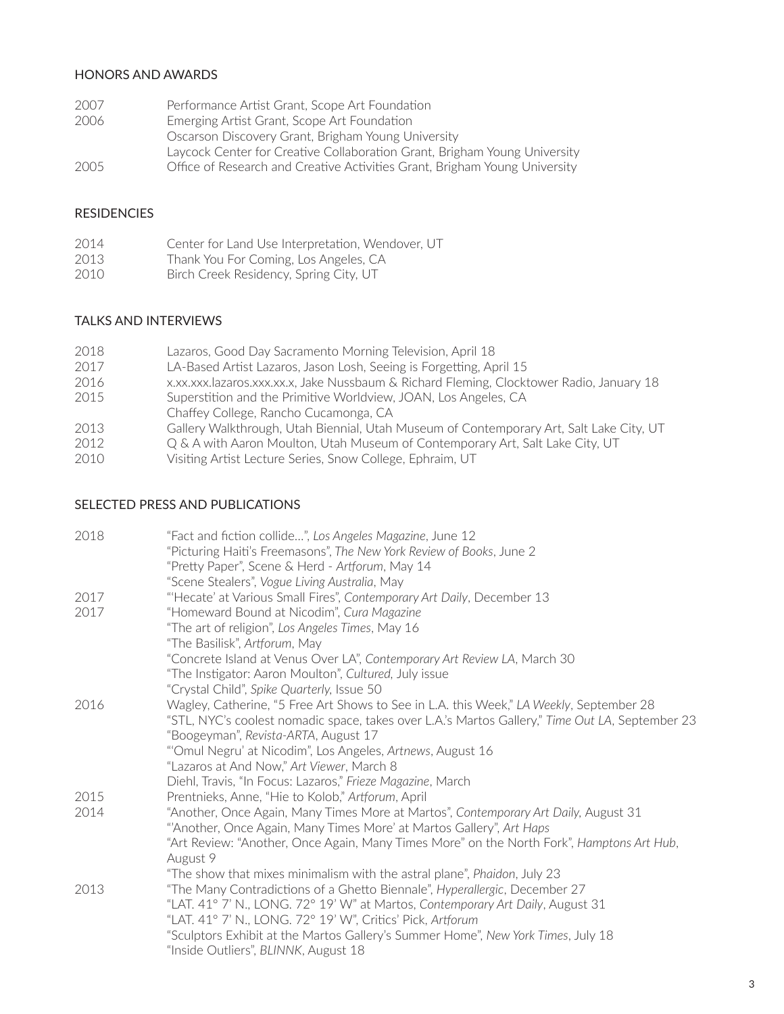### HONORS AND AWARDS

| 2007 | Performance Artist Grant, Scope Art Foundation                             |
|------|----------------------------------------------------------------------------|
| 2006 | Emerging Artist Grant, Scope Art Foundation                                |
|      | Oscarson Discovery Grant, Brigham Young University                         |
|      | Laycock Center for Creative Collaboration Grant, Brigham Young University  |
| 2005 | Office of Research and Creative Activities Grant, Brigham Young University |

#### RESIDENCIES

| 2014 | Center for Land Use Interpretation, Wendover, UT |  |  |
|------|--------------------------------------------------|--|--|
|------|--------------------------------------------------|--|--|

- 2013 Thank You For Coming, Los Angeles, CA
- 2010 Birch Creek Residency, Spring City, UT

### TALKS AND INTERVIEWS

| 2018 | Lazaros, Good Day Sacramento Morning Television, April 18                                |
|------|------------------------------------------------------------------------------------------|
| 2017 | LA-Based Artist Lazaros, Jason Losh, Seeing is Forgetting, April 15                      |
| 2016 | x.xx.xxx.lazaros.xxx.xx.x, Jake Nussbaum & Richard Fleming, Clocktower Radio, January 18 |
| 2015 | Superstition and the Primitive Worldview, JOAN, Los Angeles, CA                          |
|      | Chaffey College, Rancho Cucamonga, CA                                                    |
| 2013 | Gallery Walkthrough, Utah Biennial, Utah Museum of Contemporary Art, Salt Lake City, UT  |
| 2012 | Q & A with Aaron Moulton, Utah Museum of Contemporary Art, Salt Lake City, UT            |
| 2010 | Visiting Artist Lecture Series, Snow College, Ephraim, UT                                |
|      |                                                                                          |

### SELECTED PRESS AND PUBLICATIONS

| 2018 | "Fact and fiction collide", Los Angeles Magazine, June 12                                       |
|------|-------------------------------------------------------------------------------------------------|
|      | "Picturing Haiti's Freemasons", The New York Review of Books, June 2                            |
|      | "Pretty Paper", Scene & Herd - Artforum, May 14                                                 |
|      | "Scene Stealers", Vogue Living Australia, May                                                   |
| 2017 | "Hecate' at Various Small Fires", Contemporary Art Daily, December 13                           |
| 2017 | "Homeward Bound at Nicodim", Cura Magazine                                                      |
|      | "The art of religion", Los Angeles Times, May 16                                                |
|      | "The Basilisk", Artforum, May                                                                   |
|      | "Concrete Island at Venus Over LA", Contemporary Art Review LA, March 30                        |
|      | "The Instigator: Aaron Moulton", Cultured, July issue                                           |
|      | "Crystal Child", Spike Quarterly, Issue 50                                                      |
| 2016 | Wagley, Catherine, "5 Free Art Shows to See in L.A. this Week," LA Weekly, September 28         |
|      | "STL, NYC's coolest nomadic space, takes over L.A.'s Martos Gallery," Time Out LA, September 23 |
|      | "Boogeyman", Revista-ARTA, August 17                                                            |
|      | "Omul Negru' at Nicodim", Los Angeles, Artnews, August 16                                       |
|      | "Lazaros at And Now," Art Viewer, March 8                                                       |
|      | Diehl, Travis, "In Focus: Lazaros," Frieze Magazine, March                                      |
| 2015 | Prentnieks, Anne, "Hie to Kolob," Artforum, April                                               |
| 2014 | "Another, Once Again, Many Times More at Martos", Contemporary Art Daily, August 31             |
|      | "Another, Once Again, Many Times More' at Martos Gallery", Art Haps                             |
|      | "Art Review: "Another, Once Again, Many Times More" on the North Fork", Hamptons Art Hub,       |
|      | August 9                                                                                        |
|      | "The show that mixes minimalism with the astral plane", Phaidon, July 23                        |
| 2013 | "The Many Contradictions of a Ghetto Biennale", Hyperallergic, December 27                      |
|      | "LAT. 41° 7' N., LONG. 72° 19' W" at Martos, Contemporary Art Daily, August 31                  |
|      | "LAT. 41° 7' N., LONG. 72° 19' W", Critics' Pick, Artforum                                      |
|      | "Sculptors Exhibit at the Martos Gallery's Summer Home", New York Times, July 18                |
|      | "Inside Outliers", BLINNK, August 18                                                            |